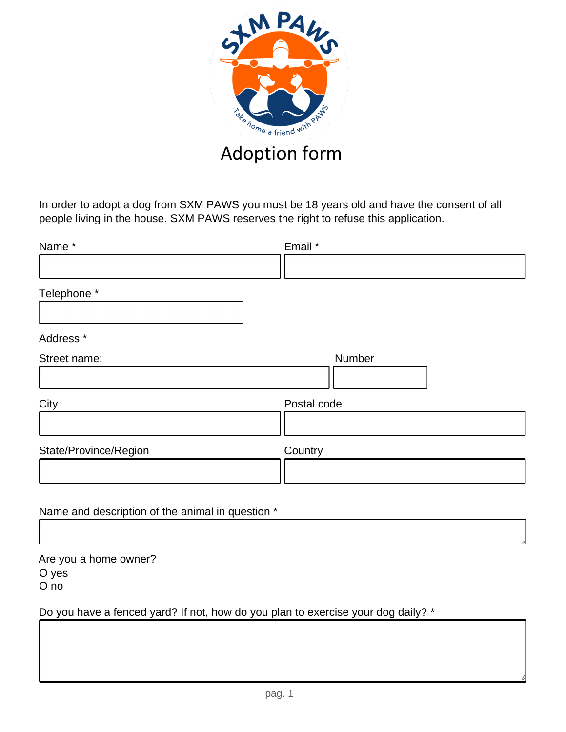

In order to adopt a dog from SXM PAWS you must be 18 years old and have the consent of all people living in the house. SXM PAWS reserves the right to refuse this application.

| Name*                 | Email *     |
|-----------------------|-------------|
|                       |             |
| Telephone *           |             |
| Address <sup>*</sup>  |             |
| Street name:          | Number      |
| City                  | Postal code |
| State/Province/Region | Country     |
|                       |             |

Name and description of the animal in question \*

Are you a home owner? O yes O no

Do you have a fenced yard? If not, how do you plan to exercise your dog daily? \*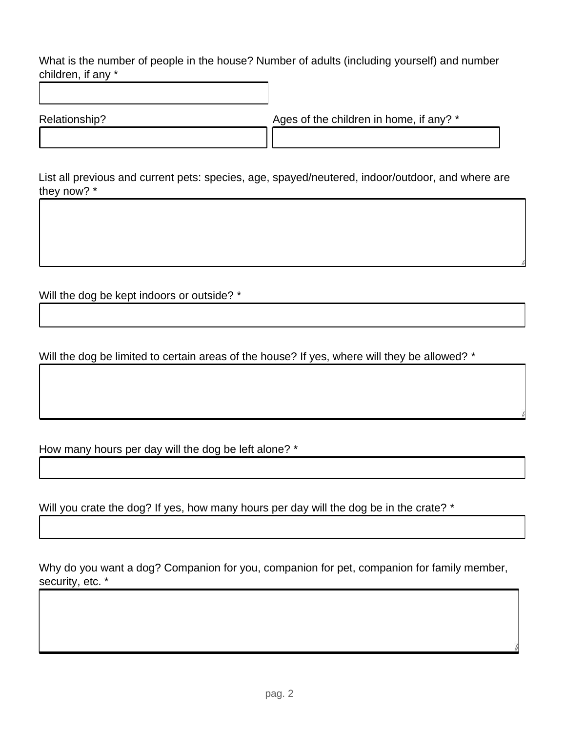What is the number of people in the house? Number of adults (including yourself) and number children, if any \*

Relationship? Ages of the children in home, if any? \*

List all previous and current pets: species, age, spayed/neutered, indoor/outdoor, and where are they now? \*

Will the dog be kept indoors or outside? \*

Will the dog be limited to certain areas of the house? If yes, where will they be allowed? \*

How many hours per day will the dog be left alone? \*

Will you crate the dog? If yes, how many hours per day will the dog be in the crate? \*

Why do you want a dog? Companion for you, companion for pet, companion for family member, security, etc. \*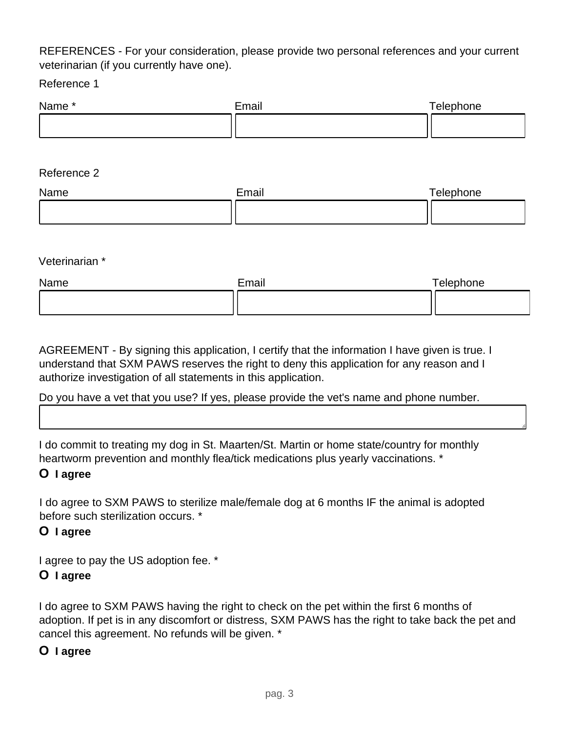# REFERENCES - For your consideration, please provide two personal references and your current veterinarian (if you currently have one).

Reference 1

| Name* | Email | Telephone |
|-------|-------|-----------|
|       |       |           |

#### Reference 2

| Name | Email | Telephone |
|------|-------|-----------|
|      |       |           |

#### Veterinarian \*

| Name | Email | Telephone |
|------|-------|-----------|
|      |       |           |

AGREEMENT - By signing this application, I certify that the information I have given is true. I understand that SXM PAWS reserves the right to deny this application for any reason and I authorize investigation of all statements in this application.

# Do you have a vet that you use? If yes, please provide the vet's name and phone number.

I do commit to treating my dog in St. Maarten/St. Martin or home state/country for monthly heartworm prevention and monthly flea/tick medications plus yearly vaccinations. \*

# **O I agree**

I do agree to SXM PAWS to sterilize male/female dog at 6 months IF the animal is adopted before such sterilization occurs. \*

# **O I agree**

I agree to pay the US adoption fee. \*

# **O I agree**

I do agree to SXM PAWS having the right to check on the pet within the first 6 months of adoption. If pet is in any discomfort or distress, SXM PAWS has the right to take back the pet and cancel this agreement. No refunds will be given. \*

#### **O I agree**